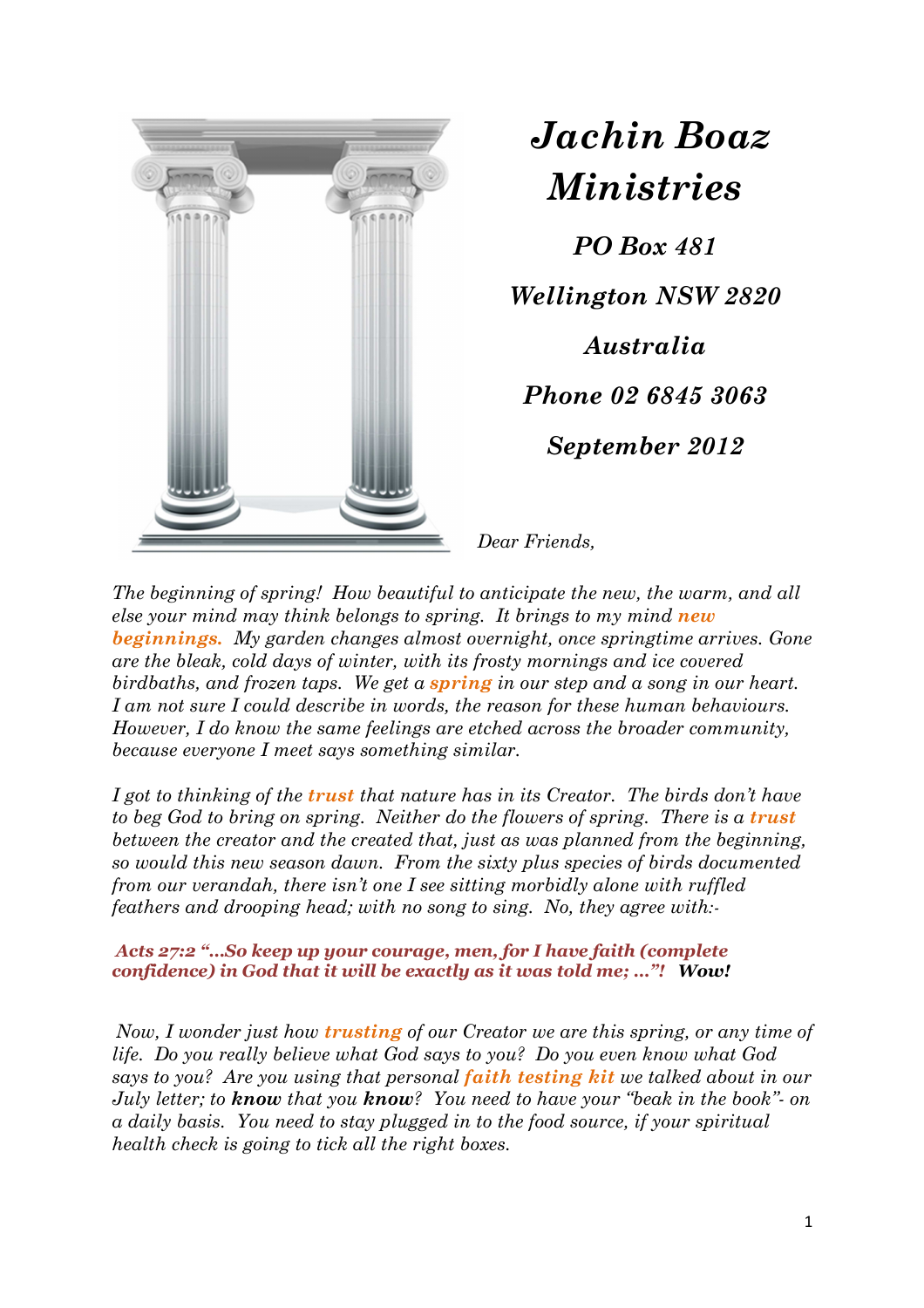

 *Jachin Boaz Ministries*

*PO Box 481 Wellington NSW 2820 Australia Phone 02 6845 3063 September 2012* 

*Dear Friends,* 

*The beginning of spring! How beautiful to anticipate the new, the warm, and all else your mind may think belongs to spring. It brings to my mind new beginnings. My garden changes almost overnight, once springtime arrives. Gone are the bleak, cold days of winter, with its frosty mornings and ice covered birdbaths, and frozen taps. We get a spring in our step and a song in our heart. I am not sure I could describe in words, the reason for these human behaviours. However, I do know the same feelings are etched across the broader community, because everyone I meet says something similar.* 

*I got to thinking of the trust that nature has in its Creator. The birds don't have to beg God to bring on spring. Neither do the flowers of spring. There is a trust between the creator and the created that, just as was planned from the beginning, so would this new season dawn. From the sixty plus species of birds documented from our verandah, there isn't one I see sitting morbidly alone with ruffled feathers and drooping head; with no song to sing. No, they agree with:-* 

*Acts 27:2 "…So keep up your courage, men, for I have faith (complete confidence) in God that it will be exactly as it was told me; …"! Wow!* 

*Now, I wonder just how trusting of our Creator we are this spring, or any time of life. Do you really believe what God says to you? Do you even know what God says to you? Are you using that personal faith testing kit we talked about in our July letter; to know that you know? You need to have your "beak in the book"- on a daily basis. You need to stay plugged in to the food source, if your spiritual health check is going to tick all the right boxes.*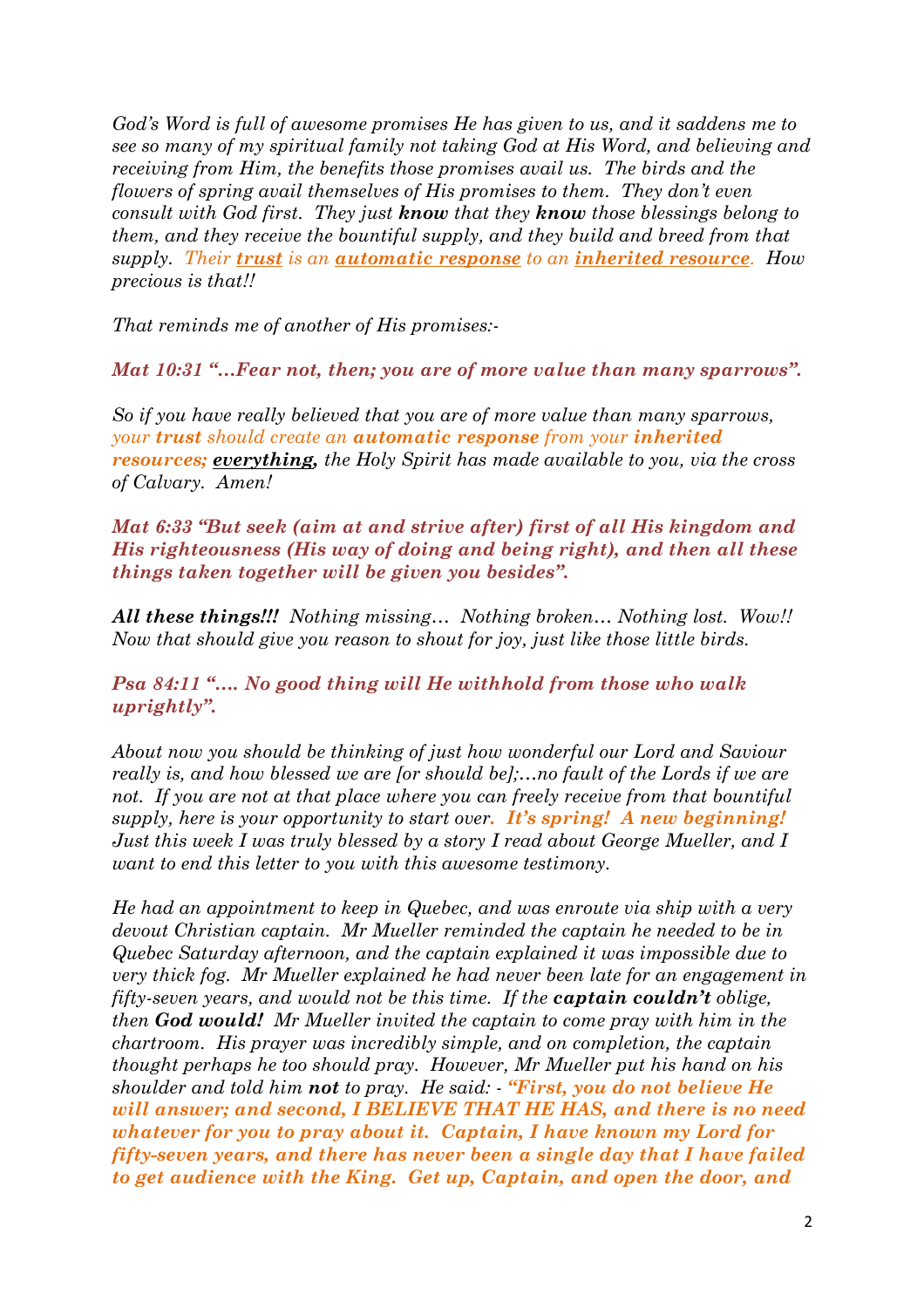*God's Word is full of awesome promises He has given to us, and it saddens me to see so many of my spiritual family not taking God at His Word, and believing and receiving from Him, the benefits those promises avail us. The birds and the flowers of spring avail themselves of His promises to them. They don't even consult with God first. They just know that they know those blessings belong to them, and they receive the bountiful supply, and they build and breed from that supply. Their trust is an automatic response to an inherited resource. How precious is that!!* 

*That reminds me of another of His promises:-* 

*Mat 10:31 "…Fear not, then; you are of more value than many sparrows".* 

*So if you have really believed that you are of more value than many sparrows, your trust should create an automatic response from your inherited resources; everything, the Holy Spirit has made available to you, via the cross of Calvary. Amen!* 

*Mat 6:33 "But seek (aim at and strive after) first of all His kingdom and His righteousness (His way of doing and being right), and then all these things taken together will be given you besides".* 

*All these things!!! Nothing missing… Nothing broken… Nothing lost. Wow!! Now that should give you reason to shout for joy, just like those little birds.* 

*Psa 84:11 "…. No good thing will He withhold from those who walk uprightly".* 

*About now you should be thinking of just how wonderful our Lord and Saviour really is, and how blessed we are [or should be];…no fault of the Lords if we are not. If you are not at that place where you can freely receive from that bountiful supply, here is your opportunity to start over. It's spring! A new beginning! Just this week I was truly blessed by a story I read about George Mueller, and I want to end this letter to you with this awesome testimony.* 

*He had an appointment to keep in Quebec, and was enroute via ship with a very devout Christian captain. Mr Mueller reminded the captain he needed to be in Quebec Saturday afternoon, and the captain explained it was impossible due to very thick fog. Mr Mueller explained he had never been late for an engagement in fifty-seven years, and would not be this time. If the captain couldn't oblige, then God would! Mr Mueller invited the captain to come pray with him in the chartroom. His prayer was incredibly simple, and on completion, the captain thought perhaps he too should pray. However, Mr Mueller put his hand on his shoulder and told him not to pray. He said: - "First, you do not believe He will answer; and second, I BELIEVE THAT HE HAS, and there is no need whatever for you to pray about it. Captain, I have known my Lord for fifty-seven years, and there has never been a single day that I have failed to get audience with the King. Get up, Captain, and open the door, and*